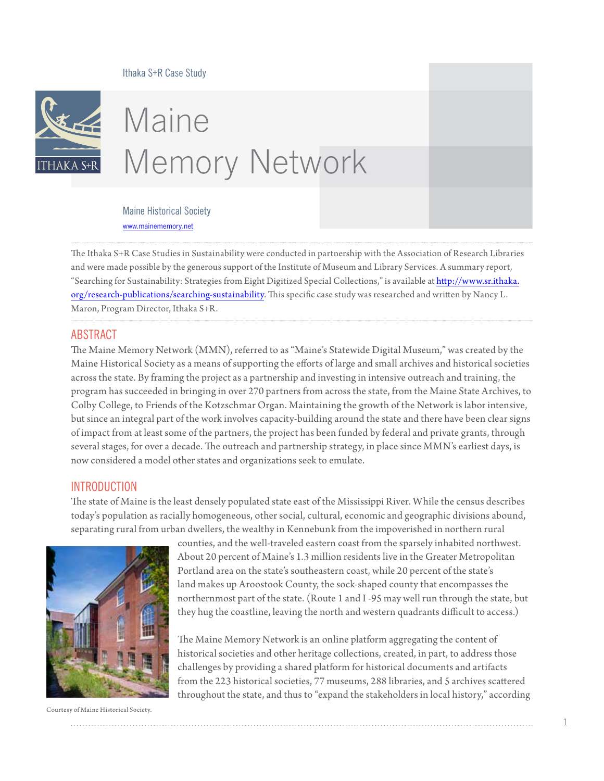

# Maine Memory Network

Maine Historical Society <www.mainememory.net>

The Ithaka S+R Case Studies in Sustainability were conducted in partnership with the Association of Research Libraries and were made possible by the generous support of the Institute of Museum and Library Services. A summary report, "Searching for Sustainability: Strategies from Eight Digitized Special Collections," is available at [http://www.sr.ithaka.](http://www.sr.ithaka.org/research-publications/searching-sustainability) [org/research-publications/searching-](http://www.sr.ithaka.org/research-publications/searching-sustainability)sustainability. This specific case study was researched and written by Nancy L. Maron, Program Director, Ithaka S+R.

#### ABSTRACT

The Maine Memory Network (MMN), referred to as "Maine's Statewide Digital Museum," was created by the Maine Historical Society as a means of supporting the efforts of large and small archives and historical societies across the state. By framing the project as a partnership and investing in intensive outreach and training, the program has succeeded in bringing in over 270 partners from across the state, from the Maine State Archives, to Colby College, to Friends of the Kotzschmar Organ. Maintaining the growth of the Network is labor intensive, but since an integral part of the work involves capacity-building around the state and there have been clear signs of impact from at least some of the partners, the project has been funded by federal and private grants, through several stages, for over a decade. The outreach and partnership strategy, in place since MMN's earliest days, is now considered a model other states and organizations seek to emulate.

#### **INTRODUCTION**

The state of Maine is the least densely populated state east of the Mississippi River. While the census describes today's population as racially homogeneous, other social, cultural, economic and geographic divisions abound, separating rural from urban dwellers, the wealthy in Kennebunk from the impoverished in northern rural



counties, and the well-traveled eastern coast from the sparsely inhabited northwest. About 20 percent of Maine's 1.3 million residents live in the Greater Metropolitan Portland area on the state's southeastern coast, while 20 percent of the state's land makes up Aroostook County, the sock-shaped county that encompasses the northernmost part of the state. (Route 1 and I -95 may well run through the state, but they hug the coastline, leaving the north and western quadrants difficult to access.)

The Maine Memory Network is an online platform aggregating the content of historical societies and other heritage collections, created, in part, to address those challenges by providing a shared platform for historical documents and artifacts from the 223 historical societies, 77 museums, 288 libraries, and 5 archives scattered throughout the state, and thus to "expand the stakeholders in local history," according

Courtesy of Maine Historical Society.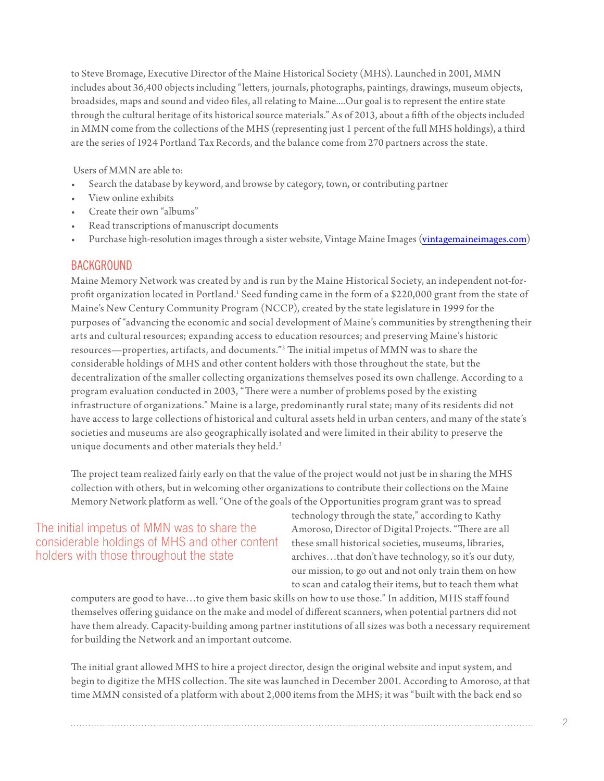to Steve Bromage, Executive Director of the Maine Historical Society (MHS). Launched in 2001, MMN includes about 36,400 objects including "letters, journals, photographs, paintings, drawings, museum objects, broadsides, maps and sound and video files, all relating to Maine....Our goal is to represent the entire state through the cultural heritage of its historical source materials." As of 2013, about a fifth of the objects included in MMN come from the collections of the MHS (representing just 1 percent of the full MHS holdings), a third are the series of 1924 Portland Tax Records, and the balance come from 270 partners across the state.

Users of MMN are able to:

- Search the database by keyword, and browse by category, town, or contributing partner
- View online exhibits
- Create their own "albums"
- Read transcriptions of manuscript documents
- Purchase high-resolution images through a sister website, Vintage Maine Images [\(vintagemaineimages.com\)](vintagemaineimages.com)

### **BACKGROUND**

Maine Memory Network was created by and is run by the Maine Historical Society, an independent not-forprofit organization located in Portland.<sup>1</sup> Seed funding came in the form of a \$220,000 grant from the state of Maine's New Century Community Program (NCCP), created by the state legislature in 1999 for the purposes of "advancing the economic and social development of Maine's communities by strengthening their arts and cultural resources; expanding access to education resources; and preserving Maine's historic resources—properties, artifacts, and documents."[2](#page-9-1) The initial impetus of MMN was to share the considerable holdings of MHS and other content holders with those throughout the state, but the decentralization of the smaller collecting organizations themselves posed its own challenge. According to a program evaluation conducted in 2003, "There were a number of problems posed by the existing infrastructure of organizations." Maine is a large, predominantly rural state; many of its residents did not have access to large collections of historical and cultural assets held in urban centers, and many of the state's societies and museums are also geographically isolated and were limited in their ability to preserve the unique documents and other materials they held.<sup>[3](#page-9-2)</sup>

The project team realized fairly early on that the value of the project would not just be in sharing the MHS collection with others, but in welcoming other organizations to contribute their collections on the Maine Memory Network platform as well. "One of the goals of the Opportunities program grant was to spread

## The initial impetus of MMN was to share the considerable holdings of MHS and other content holders with those throughout the state

technology through the state," according to Kathy Amoroso, Director of Digital Projects. "There are all these small historical societies, museums, libraries, archives…that don't have technology, so it's our duty, our mission, to go out and not only train them on how to scan and catalog their items, but to teach them what

computers are good to have…to give them basic skills on how to use those." In addition, MHS staff found themselves offering guidance on the make and model of different scanners, when potential partners did not have them already. Capacity-building among partner institutions of all sizes was both a necessary requirement for building the Network and an important outcome.

The initial grant allowed MHS to hire a project director, design the original website and input system, and begin to digitize the MHS collection. The site was launched in December 2001. According to Amoroso, at that time MMN consisted of a platform with about 2,000 items from the MHS; it was "built with the back end so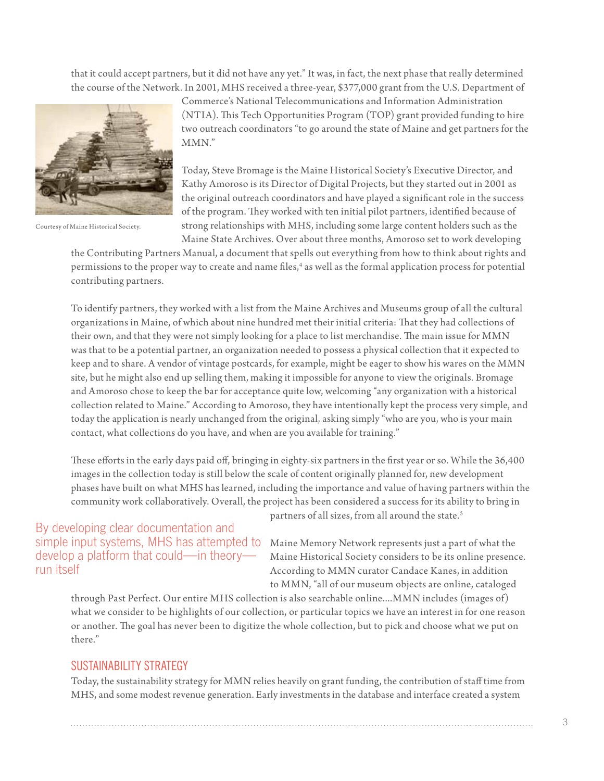that it could accept partners, but it did not have any yet." It was, in fact, the next phase that really determined the course of the Network. In 2001, MHS received a three-year, \$377,000 grant from the U.S. Department of



Courtesy of Maine Historical Society.

Commerce's National Telecommunications and Information Administration (NTIA). This Tech Opportunities Program (TOP) grant provided funding to hire two outreach coordinators "to go around the state of Maine and get partners for the MMN."

Today, Steve Bromage is the Maine Historical Society's Executive Director, and Kathy Amoroso is its Director of Digital Projects, but they started out in 2001 as the original outreach coordinators and have played a significant role in the success of the program. They worked with ten initial pilot partners, identified because of strong relationships with MHS, including some large content holders such as the Maine State Archives. Over about three months, Amoroso set to work developing

the Contributing Partners Manual, a document that spells out everything from how to think about rights and permissions to the proper way to create and name files,<sup>4</sup> as well as the formal application process for potential contributing partners.

To identify partners, they worked with a list from the Maine Archives and Museums group of all the cultural organizations in Maine, of which about nine hundred met their initial criteria: That they had collections of their own, and that they were not simply looking for a place to list merchandise. The main issue for MMN was that to be a potential partner, an organization needed to possess a physical collection that it expected to keep and to share. A vendor of vintage postcards, for example, might be eager to show his wares on the MMN site, but he might also end up selling them, making it impossible for anyone to view the originals. Bromage and Amoroso chose to keep the bar for acceptance quite low, welcoming "any organization with a historical collection related to Maine." According to Amoroso, they have intentionally kept the process very simple, and today the application is nearly unchanged from the original, asking simply "who are you, who is your main contact, what collections do you have, and when are you available for training."

These efforts in the early days paid off, bringing in eighty-six partners in the first year or so. While the 36,400 images in the collection today is still below the scale of content originally planned for, new development phases have built on what MHS has learned, including the importance and value of having partners within the community work collaboratively. Overall, the project has been considered a success for its ability to bring in

simple input systems, MHS has attempted to Maine Memory Network represents just a part of what the By developing clear documentation and run itself

partners of all sizes, from all around the state.<sup>[5](#page-10-0)</sup>

develop a platform that could—in theory— Maine Historical Society considers to be its online presence. According to MMN curator Candace Kanes, in addition to MMN, "all of our museum objects are online, cataloged

through Past Perfect. Our entire MHS collection is also searchable online....MMN includes (images of) what we consider to be highlights of our collection, or particular topics we have an interest in for one reason or another. The goal has never been to digitize the whole collection, but to pick and choose what we put on there."

#### SUSTAINABILITY STRATEGY

Today, the sustainability strategy for MMN relies heavily on grant funding, the contribution of staff time from MHS, and some modest revenue generation. Early investments in the database and interface created a system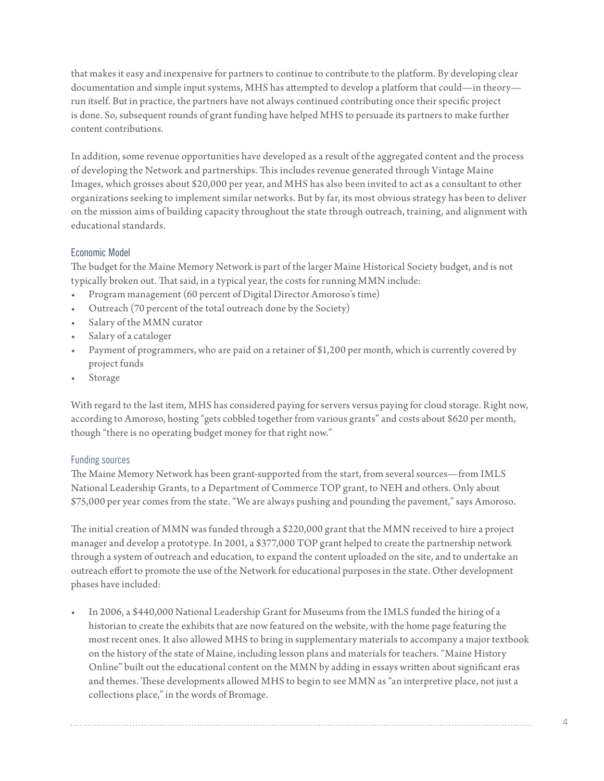that makes it easy and inexpensive for partners to continue to contribute to the platform. By developing clear documentation and simple input systems, MHS has attempted to develop a platform that could—in theory run itself. But in practice, the partners have not always continued contributing once their specific project is done. So, subsequent rounds of grant funding have helped MHS to persuade its partners to make further content contributions.

In addition, some revenue opportunities have developed as a result of the aggregated content and the process of developing the Network and partnerships. This includes revenue generated through Vintage Maine Images, which grosses about \$20,000 per year, and MHS has also been invited to act as a consultant to other organizations seeking to implement similar networks. But by far, its most obvious strategy has been to deliver on the mission aims of building capacity throughout the state through outreach, training, and alignment with educational standards.

## Economic Model

The budget for the Maine Memory Network is part of the larger Maine Historical Society budget, and is not typically broken out. That said, in a typical year, the costs for running MMN include:

- Program management (60 percent of Digital Director Amoroso's time)
- Outreach (70 percent of the total outreach done by the Society)
- Salary of the MMN curator
- Salary of a cataloger
- Payment of programmers, who are paid on a retainer of \$1,200 per month, which is currently covered by project funds
- **Storage**

With regard to the last item, MHS has considered paying for servers versus paying for cloud storage. Right now, according to Amoroso, hosting "gets cobbled together from various grants" and costs about \$620 per month, though "there is no operating budget money for that right now."

#### Funding sources

The Maine Memory Network has been grant-supported from the start, from several sources—from IMLS National Leadership Grants, to a Department of Commerce TOP grant, to NEH and others. Only about \$75,000 per year comes from the state. "We are always pushing and pounding the pavement," says Amoroso.

The initial creation of MMN was funded through a \$220,000 grant that the MMN received to hire a project manager and develop a prototype. In 2001, a \$377,000 TOP grant helped to create the partnership network through a system of outreach and education, to expand the content uploaded on the site, and to undertake an outreach effort to promote the use of the Network for educational purposes in the state. Other development phases have included:

In 2006, a \$440,000 National Leadership Grant for Museums from the IMLS funded the hiring of a historian to create the exhibits that are now featured on the website, with the home page featuring the most recent ones. It also allowed MHS to bring in supplementary materials to accompany a major textbook on the history of the state of Maine, including lesson plans and materials for teachers. "Maine History Online" built out the educational content on the MMN by adding in essays written about significant eras and themes. These developments allowed MHS to begin to see MMN as "an interpretive place, not just a collections place," in the words of Bromage.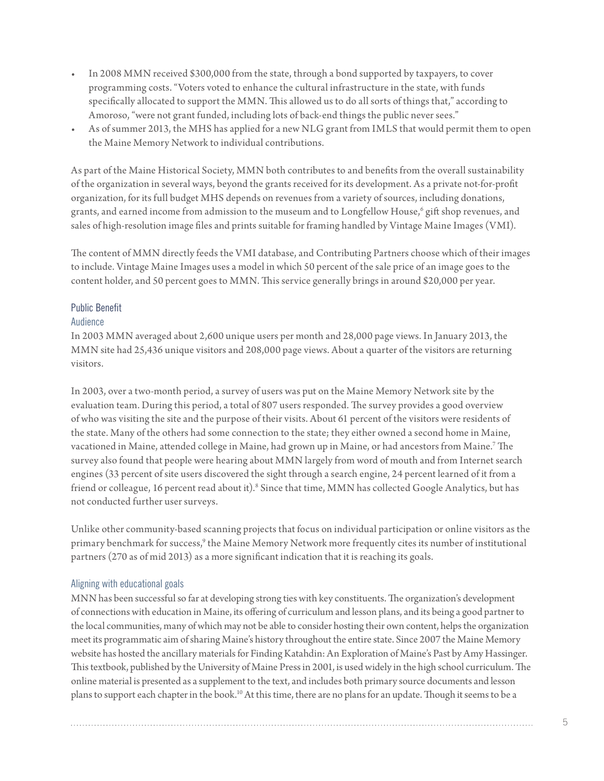- In 2008 MMN received \$300,000 from the state, through a bond supported by taxpayers, to cover programming costs. "Voters voted to enhance the cultural infrastructure in the state, with funds specifically allocated to support the MMN. This allowed us to do all sorts of things that," according to Amoroso, "were not grant funded, including lots of back-end things the public never sees."
- As of summer 2013, the MHS has applied for a new NLG grant from IMLS that would permit them to open the Maine Memory Network to individual contributions.

As part of the Maine Historical Society, MMN both contributes to and benefits from the overall sustainability of the organization in several ways, beyond the grants received for its development. As a private not-for-profit organization, for its full budget MHS depends on revenues from a variety of sources, including donations, grants, and earned income from admission to the museum and to Longfellow House, $^6$  $^6$  gift shop revenues, and sales of high-resolution image files and prints suitable for framing handled by Vintage Maine Images (VMI).

The content of MMN directly feeds the VMI database, and Contributing Partners choose which of their images to include. Vintage Maine Images uses a model in which 50 percent of the sale price of an image goes to the content holder, and 50 percent goes to MMN. This service generally brings in around \$20,000 per year.

#### Public Benefit

#### Audience

In 2003 MMN averaged about 2,600 unique users per month and 28,000 page views. In January 2013, the MMN site had 25,436 unique visitors and 208,000 page views. About a quarter of the visitors are returning visitors.

In 2003, over a two-month period, a survey of users was put on the Maine Memory Network site by the evaluation team. During this period, a total of 807 users responded. The survey provides a good overview of who was visiting the site and the purpose of their visits. About 61 percent of the visitors were residents of the state. Many of the others had some connection to the state; they either owned a second home in Maine, vacationed in Maine, attended college in Maine, had grown up in Maine, or had ancestors from Maine[.7](#page-10-2) The survey also found that people were hearing about MMN largely from word of mouth and from Internet search engines (33 percent of site users discovered the sight through a search engine, 24 percent learned of it from a friend or colleague, 16 percent read about it). $^{\rm 8}$  $^{\rm 8}$  $^{\rm 8}$  Since that time, MMN has collected Google Analytics, but has not conducted further user surveys.

Unlike other community-based scanning projects that focus on individual participation or online visitors as the primary benchmark for success,<sup>9</sup> the Maine Memory Network more frequently cites its number of institutional partners (270 as of mid 2013) as a more significant indication that it is reaching its goals.

#### Aligning with educational goals

MNN has been successful so far at developing strong ties with key constituents. The organization's development of connections with education in Maine, its offering of curriculum and lesson plans, and its being a good partner to the local communities, many of which may not be able to consider hosting their own content, helps the organization meet its programmatic aim of sharing Maine's history throughout the entire state. Since 2007 the Maine Memory website has hosted the ancillary materials for Finding Katahdin: An Exploration of Maine's Past by Amy Hassinger. This textbook, published by the University of Maine Press in 2001, is used widely in the high school curriculum. The online material is presented as a supplement to the text, and includes both primary source documents and lesson plans to support each chapter in the book.<sup>10</sup> At this time, there are no plans for an update. Though it seems to be a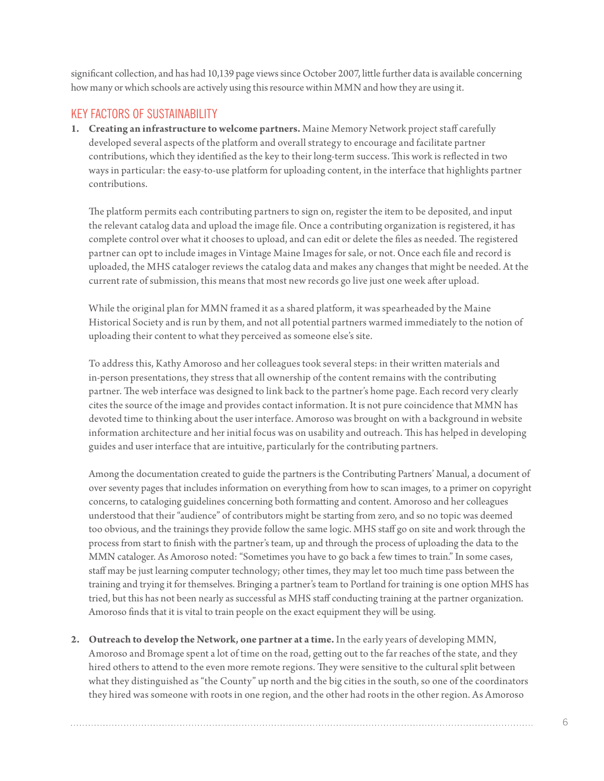significant collection, and has had 10,139 page views since October 2007, little further data is available concerning how many or which schools are actively using this resource within MMN and how they are using it.

# KEY FACTORS OF SUSTAINABILITY

**1. Creating an infrastructure to welcome partners.** Maine Memory Network project staff carefully developed several aspects of the platform and overall strategy to encourage and facilitate partner contributions, which they identified as the key to their long-term success. This work is reflected in two ways in particular: the easy-to-use platform for uploading content, in the interface that highlights partner contributions.

The platform permits each contributing partners to sign on, register the item to be deposited, and input the relevant catalog data and upload the image file. Once a contributing organization is registered, it has complete control over what it chooses to upload, and can edit or delete the files as needed. The registered partner can opt to include images in Vintage Maine Images for sale, or not. Once each file and record is uploaded, the MHS cataloger reviews the catalog data and makes any changes that might be needed. At the current rate of submission, this means that most new records go live just one week after upload.

While the original plan for MMN framed it as a shared platform, it was spearheaded by the Maine Historical Society and is run by them, and not all potential partners warmed immediately to the notion of uploading their content to what they perceived as someone else's site.

To address this, Kathy Amoroso and her colleagues took several steps: in their written materials and in-person presentations, they stress that all ownership of the content remains with the contributing partner. The web interface was designed to link back to the partner's home page. Each record very clearly cites the source of the image and provides contact information. It is not pure coincidence that MMN has devoted time to thinking about the user interface. Amoroso was brought on with a background in website information architecture and her initial focus was on usability and outreach. This has helped in developing guides and user interface that are intuitive, particularly for the contributing partners.

Among the documentation created to guide the partners is the Contributing Partners' Manual, a document of over seventy pages that includes information on everything from how to scan images, to a primer on copyright concerns, to cataloging guidelines concerning both formatting and content. Amoroso and her colleagues understood that their "audience" of contributors might be starting from zero, and so no topic was deemed too obvious, and the trainings they provide follow the same logic. MHS staff go on site and work through the process from start to finish with the partner's team, up and through the process of uploading the data to the MMN cataloger. As Amoroso noted: "Sometimes you have to go back a few times to train." In some cases, staff may be just learning computer technology; other times, they may let too much time pass between the training and trying it for themselves. Bringing a partner's team to Portland for training is one option MHS has tried, but this has not been nearly as successful as MHS staff conducting training at the partner organization. Amoroso finds that it is vital to train people on the exact equipment they will be using.

**2. Outreach to develop the Network, one partner at a time.** In the early years of developing MMN, Amoroso and Bromage spent a lot of time on the road, getting out to the far reaches of the state, and they hired others to attend to the even more remote regions. They were sensitive to the cultural split between what they distinguished as "the County" up north and the big cities in the south, so one of the coordinators they hired was someone with roots in one region, and the other had roots in the other region. As Amoroso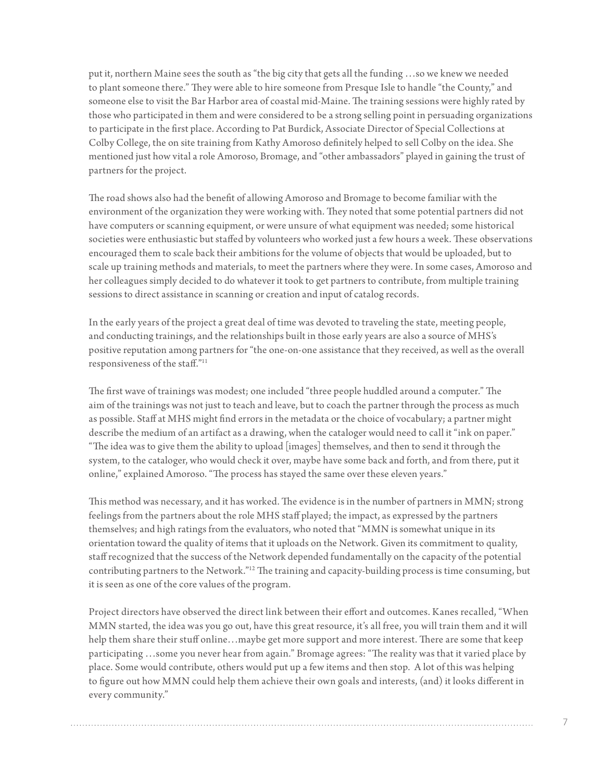put it, northern Maine sees the south as "the big city that gets all the funding …so we knew we needed to plant someone there." They were able to hire someone from Presque Isle to handle "the County," and someone else to visit the Bar Harbor area of coastal mid-Maine. The training sessions were highly rated by those who participated in them and were considered to be a strong selling point in persuading organizations to participate in the first place. According to Pat Burdick, Associate Director of Special Collections at Colby College, the on site training from Kathy Amoroso definitely helped to sell Colby on the idea. She mentioned just how vital a role Amoroso, Bromage, and "other ambassadors" played in gaining the trust of partners for the project.

The road shows also had the benefit of allowing Amoroso and Bromage to become familiar with the environment of the organization they were working with. They noted that some potential partners did not have computers or scanning equipment, or were unsure of what equipment was needed; some historical societies were enthusiastic but staffed by volunteers who worked just a few hours a week. These observations encouraged them to scale back their ambitions for the volume of objects that would be uploaded, but to scale up training methods and materials, to meet the partners where they were. In some cases, Amoroso and her colleagues simply decided to do whatever it took to get partners to contribute, from multiple training sessions to direct assistance in scanning or creation and input of catalog records.

In the early years of the project a great deal of time was devoted to traveling the state, meeting people, and conducting trainings, and the relationships built in those early years are also a source of MHS's positive reputation among partners for "the one-on-one assistance that they received, as well as the overall responsiveness of the staff."[11](#page-10-6)

The first wave of trainings was modest; one included "three people huddled around a computer." The aim of the trainings was not just to teach and leave, but to coach the partner through the process as much as possible. Staff at MHS might find errors in the metadata or the choice of vocabulary; a partner might describe the medium of an artifact as a drawing, when the cataloger would need to call it "ink on paper." "The idea was to give them the ability to upload [images] themselves, and then to send it through the system, to the cataloger, who would check it over, maybe have some back and forth, and from there, put it online," explained Amoroso. "The process has stayed the same over these eleven years."

This method was necessary, and it has worked. The evidence is in the number of partners in MMN; strong feelings from the partners about the role MHS staff played; the impact, as expressed by the partners themselves; and high ratings from the evaluators, who noted that "MMN is somewhat unique in its orientation toward the quality of items that it uploads on the Network. Given its commitment to quality, staff recognized that the success of the Network depended fundamentally on the capacity of the potential contributing partners to the Network.["12](#page-10-7) The training and capacity-building process is time consuming, but it is seen as one of the core values of the program.

Project directors have observed the direct link between their effort and outcomes. Kanes recalled, "When MMN started, the idea was you go out, have this great resource, it's all free, you will train them and it will help them share their stuff online…maybe get more support and more interest. There are some that keep participating …some you never hear from again." Bromage agrees: "The reality was that it varied place by place. Some would contribute, others would put up a few items and then stop. A lot of this was helping to figure out how MMN could help them achieve their own goals and interests, (and) it looks different in every community."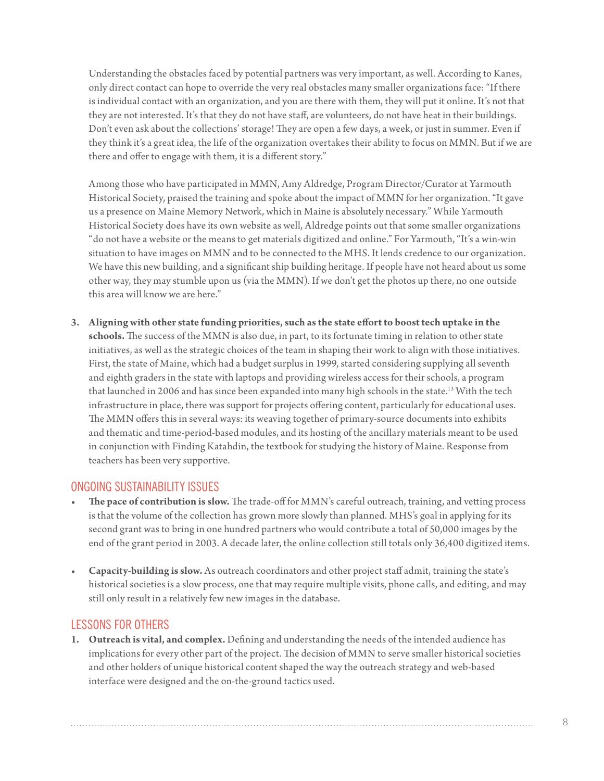Understanding the obstacles faced by potential partners was very important, as well. According to Kanes, only direct contact can hope to override the very real obstacles many smaller organizations face: "If there is individual contact with an organization, and you are there with them, they will put it online. It's not that they are not interested. It's that they do not have staff, are volunteers, do not have heat in their buildings. Don't even ask about the collections' storage! They are open a few days, a week, or just in summer. Even if they think it's a great idea, the life of the organization overtakes their ability to focus on MMN. But if we are there and offer to engage with them, it is a different story."

Among those who have participated in MMN, Amy Aldredge, Program Director/Curator at Yarmouth Historical Society, praised the training and spoke about the impact of MMN for her organization. "It gave us a presence on Maine Memory Network, which in Maine is absolutely necessary." While Yarmouth Historical Society does have its own website as well, Aldredge points out that some smaller organizations "do not have a website or the means to get materials digitized and online." For Yarmouth, "It's a win-win situation to have images on MMN and to be connected to the MHS. It lends credence to our organization. We have this new building, and a significant ship building heritage. If people have not heard about us some other way, they may stumble upon us (via the MMN). If we don't get the photos up there, no one outside this area will know we are here."

**3. Aligning with other state funding priorities, such as the state effort to boost tech uptake in the schools.** The success of the MMN is also due, in part, to its fortunate timing in relation to other state initiatives, as well as the strategic choices of the team in shaping their work to align with those initiatives. First, the state of Maine, which had a budget surplus in 1999, started considering supplying all seventh and eighth graders in the state with laptops and providing wireless access for their schools, a program that launched in 2006 and has since been expanded into many high schools in the state.<sup>13</sup> With the tech infrastructure in place, there was support for projects offering content, particularly for educational uses. The MMN offers this in several ways: its weaving together of primary-source documents into exhibits and thematic and time-period-based modules, and its hosting of the ancillary materials meant to be used in conjunction with Finding Katahdin, the textbook for studying the history of Maine. Response from teachers has been very supportive.

## ONGOING SUSTAINABILITY ISSUES

- **The pace of contribution is slow.** The trade-off for MMN's careful outreach, training, and vetting process is that the volume of the collection has grown more slowly than planned. MHS's goal in applying for its second grant was to bring in one hundred partners who would contribute a total of 50,000 images by the end of the grant period in 2003. A decade later, the online collection still totals only 36,400 digitized items.
- **• Capacity-building is slow.** As outreach coordinators and other project staff admit, training the state's historical societies is a slow process, one that may require multiple visits, phone calls, and editing, and may still only result in a relatively few new images in the database.

# LESSONS FOR OTHERS

**1. Outreach is vital, and complex.** Defining and understanding the needs of the intended audience has implications for every other part of the project. The decision of MMN to serve smaller historical societies and other holders of unique historical content shaped the way the outreach strategy and web-based interface were designed and the on-the-ground tactics used.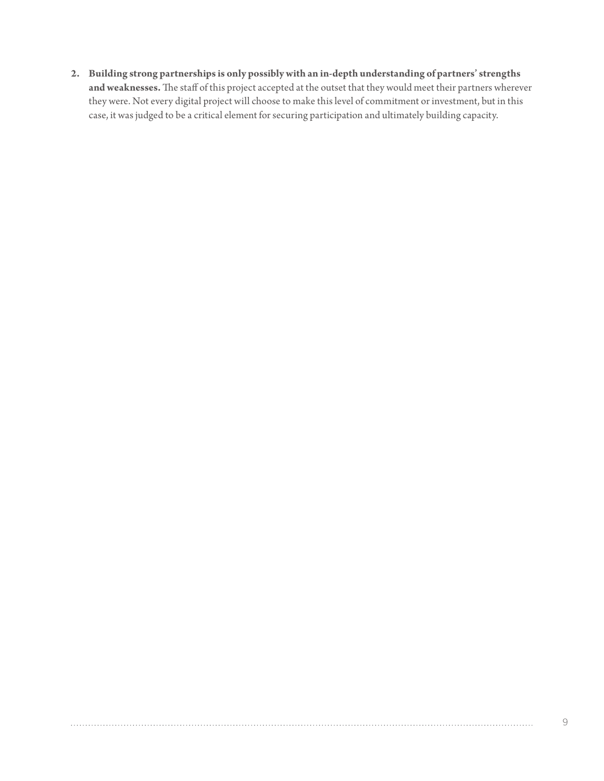**2. Building strong partnerships is only possibly with an in-depth understanding of partners' strengths and weaknesses.** The staff of this project accepted at the outset that they would meet their partners wherever they were. Not every digital project will choose to make this level of commitment or investment, but in this case, it was judged to be a critical element for securing participation and ultimately building capacity.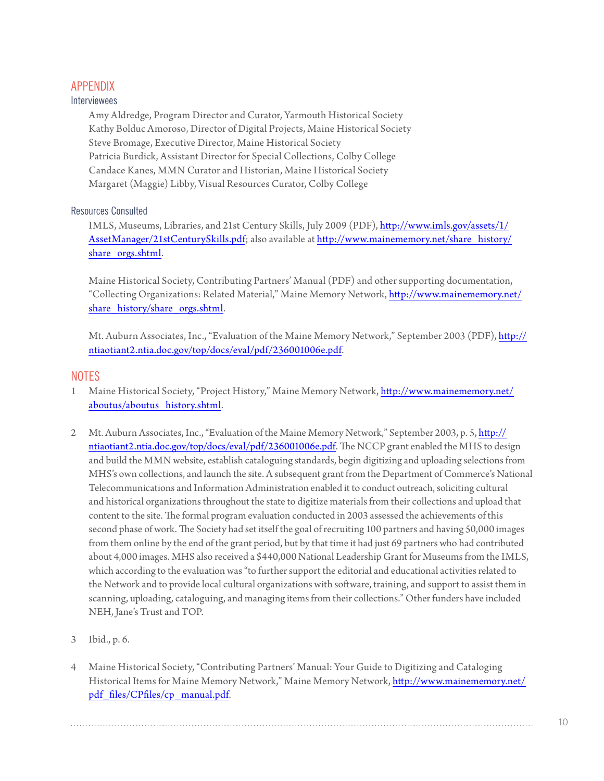## APPENDIX

### Interviewees

Amy Aldredge, Program Director and Curator, Yarmouth Historical Society Kathy Bolduc Amoroso, Director of Digital Projects, Maine Historical Society Steve Bromage, Executive Director, Maine Historical Society Patricia Burdick, Assistant Director for Special Collections, Colby College Candace Kanes, MMN Curator and Historian, Maine Historical Society Margaret (Maggie) Libby, Visual Resources Curator, Colby College

## Resources Consulted

IMLS, Museums, Libraries, and 21st Century Skills, July 2009 (PDF), [http://www.imls.gov/assets/1/](http://www.imls.gov/assets/1/AssetManager/21stCenturySkills.pdf) [AssetManager/21stCenturySkills.pdf;](http://www.imls.gov/assets/1/AssetManager/21stCenturySkills.pdf) also available at [http://www.mainememory.net/share\\_history/](http://www.mainememory.net/share_history/share_orgs.shtml) share orgs.shtml.

Maine Historical Society, Contributing Partners' Manual (PDF) and other supporting documentation, "Collecting Organizations: Related Material," Maine Memory Network, [http://www.mainememory.net/](http://www.mainememory.net/share_history/share_orgs.shtml) share history/share orgs.shtml.

Mt. Auburn Associates, Inc., "Evaluation of the Maine Memory Network," September 2003 (PDF), [http://](http://ntiaotiant2.ntia.doc.gov/top/docs/eval/pdf/236001006e.pdf) [ntiaotiant2.ntia.doc.gov/top/docs/eval/pdf/236001006e.pdf.](http://ntiaotiant2.ntia.doc.gov/top/docs/eval/pdf/236001006e.pdf)

## NOTES

- <span id="page-9-0"></span>1 Maine Historical Society, "Project History," Maine Memory Network, [http://www.mainememory.net/](http://www.mainememory.net/aboutus/aboutus_history.shtml) [aboutus/aboutus\\_history.shtml](http://www.mainememory.net/aboutus/aboutus_history.shtml).
- <span id="page-9-1"></span>2 Mt. Auburn Associates, Inc., "Evaluation of the Maine Memory Network," September 2003, p. 5, [http://](http://ntiaotiant2.ntia.doc.gov/top/docs/eval/pdf/236001006e.pdf) [ntiaotiant2.ntia.doc.gov/top/docs/eval/pdf/236001006e.pdf](http://ntiaotiant2.ntia.doc.gov/top/docs/eval/pdf/236001006e.pdf). The NCCP grant enabled the MHS to design and build the MMN website, establish cataloguing standards, begin digitizing and uploading selections from MHS's own collections, and launch the site. A subsequent grant from the Department of Commerce's National Telecommunications and Information Administration enabled it to conduct outreach, soliciting cultural and historical organizations throughout the state to digitize materials from their collections and upload that content to the site. The formal program evaluation conducted in 2003 assessed the achievements of this second phase of work. The Society had set itself the goal of recruiting 100 partners and having 50,000 images from them online by the end of the grant period, but by that time it had just 69 partners who had contributed about 4,000 images. MHS also received a \$440,000 National Leadership Grant for Museums from the IMLS, which according to the evaluation was "to further support the editorial and educational activities related to the Network and to provide local cultural organizations with software, training, and support to assist them in scanning, uploading, cataloguing, and managing items from their collections." Other funders have included NEH, Jane's Trust and TOP.
- <span id="page-9-2"></span>3 Ibid., p. 6.
- <span id="page-9-3"></span>4 Maine Historical Society, "Contributing Partners' Manual: Your Guide to Digitizing and Cataloging Historical Items for Maine Memory Network," Maine Memory Network, [http://www.mainememory.net/](http://www.mainememory.net/pdf_files/CPfiles/cp_manual.pdf) [pdf\\_files/CPfiles/cp\\_manual.pdf](http://www.mainememory.net/pdf_files/CPfiles/cp_manual.pdf).